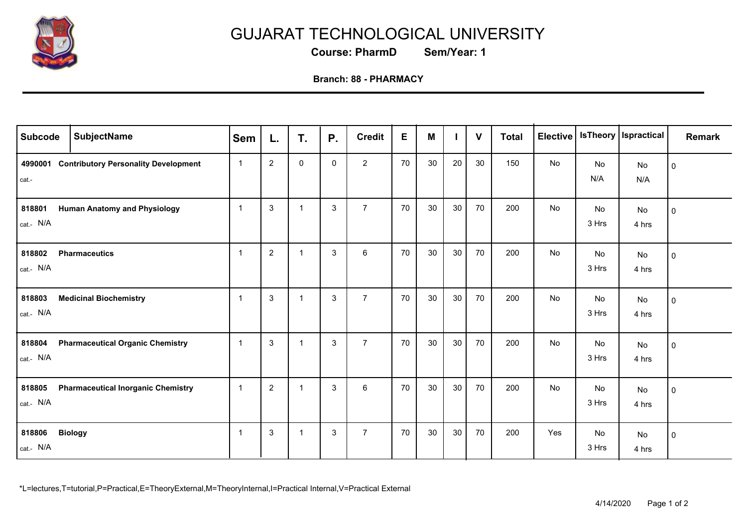

## GUJARAT TECHNOLOGICAL UNIVERSITY

**Course: PharmD Sem/Year: 1**

## **Branch: 88 - PHARMACY**

| <b>Subcode</b>      | <b>SubjectName</b>                          | <b>Sem</b>     | L.             | T.             | <b>P.</b>    | <b>Credit</b>  | E  | M  |    | $\mathbf{V}$ | <b>Total</b> | <b>Elective</b> |             | Is Theory   Ispractical | <b>Remark</b> |
|---------------------|---------------------------------------------|----------------|----------------|----------------|--------------|----------------|----|----|----|--------------|--------------|-----------------|-------------|-------------------------|---------------|
| 4990001<br>cat.-    | <b>Contributory Personality Development</b> | $\overline{1}$ | $\sqrt{2}$     | $\mathbf 0$    | $\mathbf{0}$ | $\overline{2}$ | 70 | 30 | 20 | 30           | 150          | No              | No<br>N/A   | No<br>N/A               | $\mathbf 0$   |
| 818801<br>cat.- N/A | <b>Human Anatomy and Physiology</b>         | $\overline{1}$ | $\mathbf{3}$   | $\mathbf{1}$   | 3            | $\overline{7}$ | 70 | 30 | 30 | 70           | 200          | No              | No<br>3 Hrs | No<br>4 hrs             | $\mathbf 0$   |
| 818802<br>cat.- N/A | <b>Pharmaceutics</b>                        | $\overline{1}$ | $\overline{2}$ | $\mathbf{1}$   | $\mathbf{3}$ | $\,6\,$        | 70 | 30 | 30 | 70           | 200          | No              | No<br>3 Hrs | No<br>4 hrs             | $\pmb{0}$     |
| 818803<br>cat.- N/A | <b>Medicinal Biochemistry</b>               | $\overline{1}$ | $\mathbf{3}$   | $\overline{1}$ | $\mathbf{3}$ | $\overline{7}$ | 70 | 30 | 30 | 70           | 200          | No              | No<br>3 Hrs | No<br>4 hrs             | $\pmb{0}$     |
| 818804<br>cat.- N/A | <b>Pharmaceutical Organic Chemistry</b>     | $\overline{1}$ | $\mathbf{3}$   | $\mathbf{1}$   | 3            | $\overline{7}$ | 70 | 30 | 30 | 70           | 200          | No              | No<br>3 Hrs | No<br>4 hrs             | $\pmb{0}$     |
| 818805<br>cat.- N/A | <b>Pharmaceutical Inorganic Chemistry</b>   | $\overline{1}$ | 2              | $\mathbf{1}$   | 3            | 6              | 70 | 30 | 30 | 70           | 200          | No              | No<br>3 Hrs | No<br>4 hrs             | $\pmb{0}$     |
| 818806<br>cat.- N/A | <b>Biology</b>                              | -1             | 3              | $\mathbf 1$    | 3            | $\overline{7}$ | 70 | 30 | 30 | 70           | 200          | Yes             | No<br>3 Hrs | No<br>4 hrs             | $\mathbf 0$   |